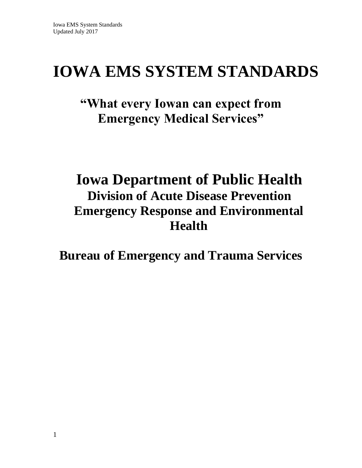# **IOWA EMS SYSTEM STANDARDS**

# **"What every Iowan can expect from Emergency Medical Services"**

# **Iowa Department of Public Health Division of Acute Disease Prevention Emergency Response and Environmental Health**

**Bureau of Emergency and Trauma Services**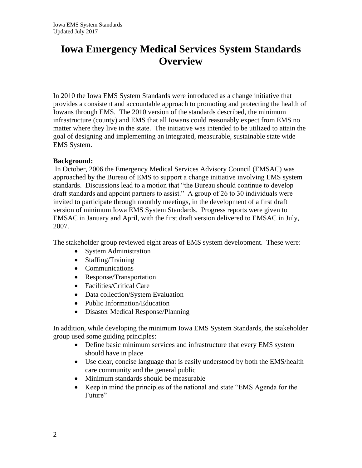# **Iowa Emergency Medical Services System Standards Overview**

In 2010 the Iowa EMS System Standards were introduced as a change initiative that provides a consistent and accountable approach to promoting and protecting the health of Iowans through EMS. The 2010 version of the standards described, the minimum infrastructure (county) and EMS that all Iowans could reasonably expect from EMS no matter where they live in the state. The initiative was intended to be utilized to attain the goal of designing and implementing an integrated, measurable, sustainable state wide EMS System.

#### **Background:**

In October, 2006 the Emergency Medical Services Advisory Council (EMSAC) was approached by the Bureau of EMS to support a change initiative involving EMS system standards. Discussions lead to a motion that "the Bureau should continue to develop draft standards and appoint partners to assist." A group of 26 to 30 individuals were invited to participate through monthly meetings, in the development of a first draft version of minimum Iowa EMS System Standards. Progress reports were given to EMSAC in January and April, with the first draft version delivered to EMSAC in July, 2007.

The stakeholder group reviewed eight areas of EMS system development. These were:

- System Administration
- Staffing/Training
- Communications
- Response/Transportation
- Facilities/Critical Care
- Data collection/System Evaluation
- Public Information/Education
- Disaster Medical Response/Planning

In addition, while developing the minimum Iowa EMS System Standards, the stakeholder group used some guiding principles:

- Define basic minimum services and infrastructure that every EMS system should have in place
- Use clear, concise language that is easily understood by both the EMS/health care community and the general public
- Minimum standards should be measurable
- Keep in mind the principles of the national and state "EMS Agenda for the Future"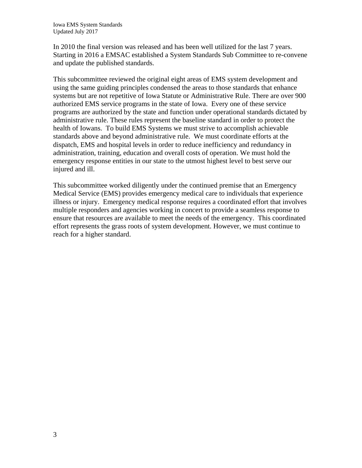In 2010 the final version was released and has been well utilized for the last 7 years. Starting in 2016 a EMSAC established a System Standards Sub Committee to re-convene and update the published standards.

This subcommittee reviewed the original eight areas of EMS system development and using the same guiding principles condensed the areas to those standards that enhance systems but are not repetitive of Iowa Statute or Administrative Rule. There are over 900 authorized EMS service programs in the state of Iowa. Every one of these service programs are authorized by the state and function under operational standards dictated by administrative rule. These rules represent the baseline standard in order to protect the health of Iowans. To build EMS Systems we must strive to accomplish achievable standards above and beyond administrative rule. We must coordinate efforts at the dispatch, EMS and hospital levels in order to reduce inefficiency and redundancy in administration, training, education and overall costs of operation. We must hold the emergency response entities in our state to the utmost highest level to best serve our injured and ill.

This subcommittee worked diligently under the continued premise that an Emergency Medical Service (EMS) provides emergency medical care to individuals that experience illness or injury. Emergency medical response requires a coordinated effort that involves multiple responders and agencies working in concert to provide a seamless response to ensure that resources are available to meet the needs of the emergency. This coordinated effort represents the grass roots of system development. However, we must continue to reach for a higher standard.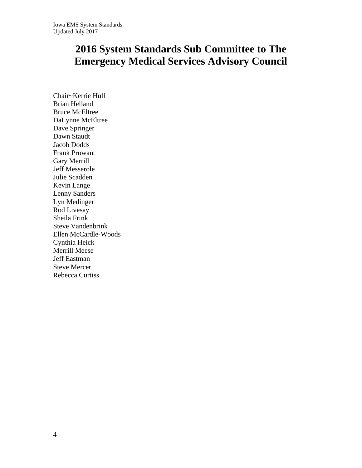# **2016 System Standards Sub Committee to The Emergency Medical Services Advisory Council**

Chair~Kerrie Hull Brian Helland Bruce McEltree DaLynne McEltree Dave Springer Dawn Staudt Jacob Dodds Frank Prowant Gary Merrill Jeff Messerole Julie Scadden Kevin Lange Lenny Sanders Lyn Medinger Rod Livesay Sheila Frink Steve Vandenbrink Ellen McCardle-Woods Cynthia Heick Merrill Meese Jeff Eastman Steve Mercer Rebecca Curtiss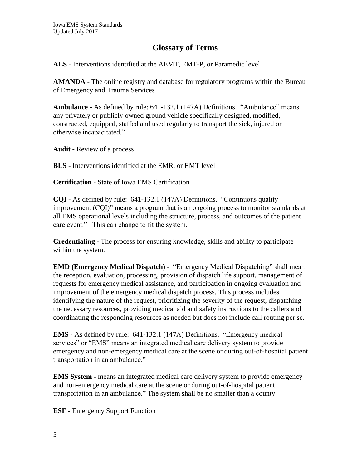### **Glossary of Terms**

**ALS** - Interventions identified at the AEMT, EMT-P, or Paramedic level

**AMANDA -** The online registry and database for regulatory programs within the Bureau of Emergency and Trauma Services

**Ambulance** - As defined by rule: 641-132.1 (147A) Definitions. "Ambulance" means any privately or publicly owned ground vehicle specifically designed, modified, constructed, equipped, staffed and used regularly to transport the sick, injured or otherwise incapacitated."

**Audit -** Review of a process

**BLS -** Interventions identified at the EMR, or EMT level

**Certification -** State of Iowa EMS Certification

**CQI -** As defined by rule: 641-132.1 (147A) Definitions. "Continuous quality improvement (CQI)" means a program that is an ongoing process to monitor standards at all EMS operational levels including the structure, process, and outcomes of the patient care event." This can change to fit the system.

**Credentialing -** The process for ensuring knowledge, skills and ability to participate within the system.

**EMD (Emergency Medical Dispatch) -** "Emergency Medical Dispatching" shall mean the reception, evaluation, processing, provision of dispatch life support, management of requests for emergency medical assistance, and participation in ongoing evaluation and improvement of the emergency medical dispatch process. This process includes identifying the nature of the request, prioritizing the severity of the request, dispatching the necessary resources, providing medical aid and safety instructions to the callers and coordinating the responding resources as needed but does not include call routing per se.

**EMS** - As defined by rule: 641-132.1 (147A) Definitions. "Emergency medical services" or "EMS" means an integrated medical care delivery system to provide emergency and non-emergency medical care at the scene or during out-of-hospital patient transportation in an ambulance."

**EMS System -** means an integrated medical care delivery system to provide emergency and non-emergency medical care at the scene or during out-of-hospital patient transportation in an ambulance." The system shall be no smaller than a county.

**ESF** - Emergency Support Function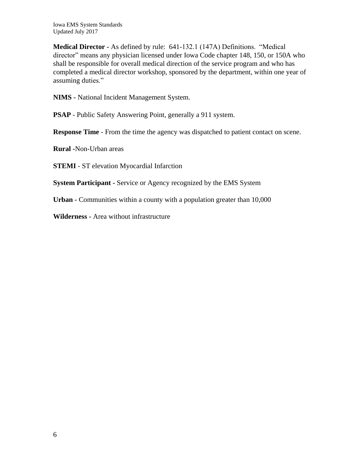**Medical Director -** As defined by rule: 641-132.1 (147A) Definitions. "Medical director" means any physician licensed under Iowa Code chapter 148, 150, or 150A who shall be responsible for overall medical direction of the service program and who has completed a medical director workshop, sponsored by the department, within one year of assuming duties."

**NIMS -** National Incident Management System.

**PSAP** - Public Safety Answering Point, generally a 911 system.

**Response Time** - From the time the agency was dispatched to patient contact on scene.

**Rural -**Non-Urban areas

**STEMI** - ST elevation Myocardial Infarction

**System Participant -** Service or Agency recognized by the EMS System

**Urban -** Communities within a county with a population greater than 10,000

**Wilderness -** Area without infrastructure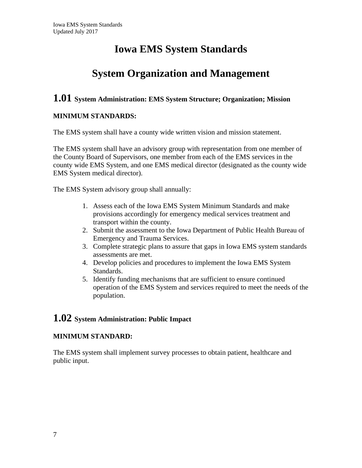# **Iowa EMS System Standards**

# **System Organization and Management**

# **1.01 System Administration: EMS System Structure; Organization; Mission**

#### **MINIMUM STANDARDS:**

The EMS system shall have a county wide written vision and mission statement.

The EMS system shall have an advisory group with representation from one member of the County Board of Supervisors, one member from each of the EMS services in the county wide EMS System, and one EMS medical director (designated as the county wide EMS System medical director).

The EMS System advisory group shall annually:

- 1. Assess each of the Iowa EMS System Minimum Standards and make provisions accordingly for emergency medical services treatment and transport within the county.
- 2. Submit the assessment to the Iowa Department of Public Health Bureau of Emergency and Trauma Services.
- 3. Complete strategic plans to assure that gaps in Iowa EMS system standards assessments are met.
- 4. Develop policies and procedures to implement the Iowa EMS System Standards.
- 5. Identify funding mechanisms that are sufficient to ensure continued operation of the EMS System and services required to meet the needs of the population.

### **1.02 System Administration: Public Impact**

#### **MINIMUM STANDARD:**

The EMS system shall implement survey processes to obtain patient, healthcare and public input.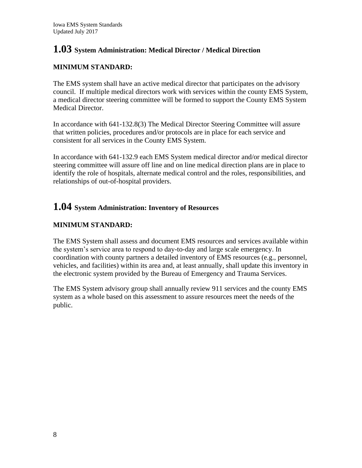# **1.03 System Administration: Medical Director / Medical Direction**

### **MINIMUM STANDARD:**

The EMS system shall have an active medical director that participates on the advisory council. If multiple medical directors work with services within the county EMS System, a medical director steering committee will be formed to support the County EMS System Medical Director.

In accordance with 641-132.8(3) The Medical Director Steering Committee will assure that written policies, procedures and/or protocols are in place for each service and consistent for all services in the County EMS System.

In accordance with 641-132.9 each EMS System medical director and/or medical director steering committee will assure off line and on line medical direction plans are in place to identify the role of hospitals, alternate medical control and the roles, responsibilities, and relationships of out-of-hospital providers.

### **1.04 System Administration: Inventory of Resources**

### **MINIMUM STANDARD:**

The EMS System shall assess and document EMS resources and services available within the system's service area to respond to day-to-day and large scale emergency. In coordination with county partners a detailed inventory of EMS resources (e.g., personnel, vehicles, and facilities) within its area and, at least annually, shall update this inventory in the electronic system provided by the Bureau of Emergency and Trauma Services.

The EMS System advisory group shall annually review 911 services and the county EMS system as a whole based on this assessment to assure resources meet the needs of the public.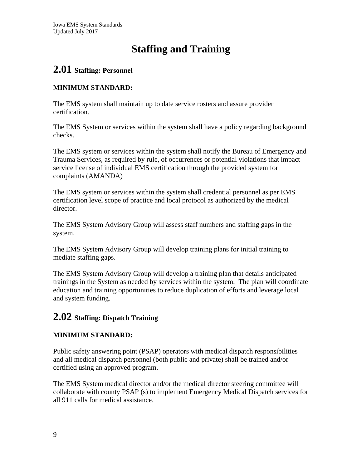# **Staffing and Training**

# **2.01 Staffing: Personnel**

### **MINIMUM STANDARD:**

The EMS system shall maintain up to date service rosters and assure provider certification.

The EMS System or services within the system shall have a policy regarding background checks.

The EMS system or services within the system shall notify the Bureau of Emergency and Trauma Services, as required by rule, of occurrences or potential violations that impact service license of individual EMS certification through the provided system for complaints (AMANDA)

The EMS system or services within the system shall credential personnel as per EMS certification level scope of practice and local protocol as authorized by the medical director.

The EMS System Advisory Group will assess staff numbers and staffing gaps in the system.

The EMS System Advisory Group will develop training plans for initial training to mediate staffing gaps.

The EMS System Advisory Group will develop a training plan that details anticipated trainings in the System as needed by services within the system. The plan will coordinate education and training opportunities to reduce duplication of efforts and leverage local and system funding.

# **2.02 Staffing: Dispatch Training**

### **MINIMUM STANDARD:**

Public safety answering point (PSAP) operators with medical dispatch responsibilities and all medical dispatch personnel (both public and private) shall be trained and/or certified using an approved program.

The EMS System medical director and/or the medical director steering committee will collaborate with county PSAP (s) to implement Emergency Medical Dispatch services for all 911 calls for medical assistance.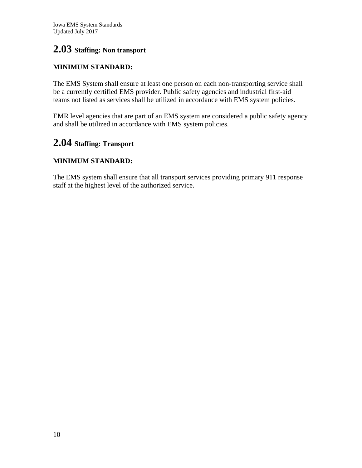# **2.03 Staffing: Non transport**

### **MINIMUM STANDARD:**

The EMS System shall ensure at least one person on each non-transporting service shall be a currently certified EMS provider. Public safety agencies and industrial first-aid teams not listed as services shall be utilized in accordance with EMS system policies.

EMR level agencies that are part of an EMS system are considered a public safety agency and shall be utilized in accordance with EMS system policies.

## **2.04 Staffing: Transport**

### **MINIMUM STANDARD:**

The EMS system shall ensure that all transport services providing primary 911 response staff at the highest level of the authorized service.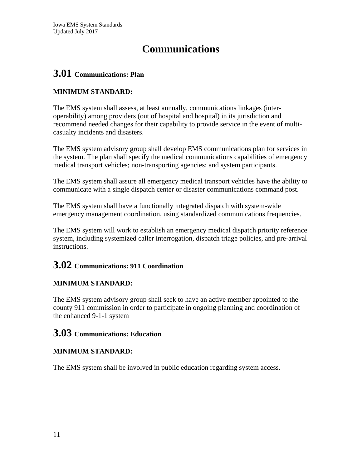# **Communications**

# **3.01 Communications: Plan**

### **MINIMUM STANDARD:**

The EMS system shall assess, at least annually, communications linkages (interoperability) among providers (out of hospital and hospital) in its jurisdiction and recommend needed changes for their capability to provide service in the event of multicasualty incidents and disasters.

The EMS system advisory group shall develop EMS communications plan for services in the system. The plan shall specify the medical communications capabilities of emergency medical transport vehicles; non-transporting agencies; and system participants.

The EMS system shall assure all emergency medical transport vehicles have the ability to communicate with a single dispatch center or disaster communications command post.

The EMS system shall have a functionally integrated dispatch with system-wide emergency management coordination, using standardized communications frequencies.

The EMS system will work to establish an emergency medical dispatch priority reference system, including systemized caller interrogation, dispatch triage policies, and pre-arrival instructions.

# **3.02 Communications: 911 Coordination**

### **MINIMUM STANDARD:**

The EMS system advisory group shall seek to have an active member appointed to the county 911 commission in order to participate in ongoing planning and coordination of the enhanced 9-1-1 system

### **3.03 Communications: Education**

### **MINIMUM STANDARD:**

The EMS system shall be involved in public education regarding system access.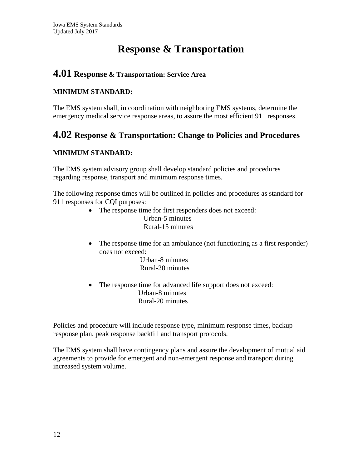# **Response & Transportation**

### **4.01 Response & Transportation: Service Area**

#### **MINIMUM STANDARD:**

The EMS system shall, in coordination with neighboring EMS systems, determine the emergency medical service response areas, to assure the most efficient 911 responses.

# **4.02 Response & Transportation: Change to Policies and Procedures**

### **MINIMUM STANDARD:**

The EMS system advisory group shall develop standard policies and procedures regarding response, transport and minimum response times.

The following response times will be outlined in policies and procedures as standard for 911 responses for CQI purposes:

The response time for first responders does not exceed:

 Urban-5 minutes Rural-15 minutes

• The response time for an ambulance (not functioning as a first responder) does not exceed:

 Urban-8 minutes Rural-20 minutes

• The response time for advanced life support does not exceed: Urban-8 minutes Rural-20 minutes

Policies and procedure will include response type, minimum response times, backup response plan, peak response backfill and transport protocols.

The EMS system shall have contingency plans and assure the development of mutual aid agreements to provide for emergent and non-emergent response and transport during increased system volume.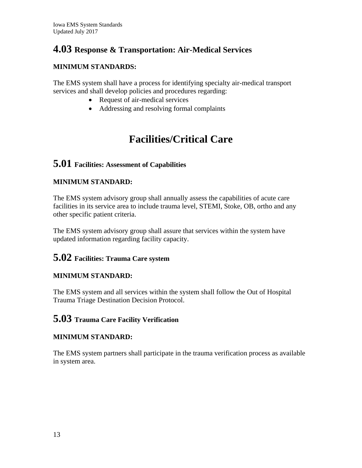# **4.03 Response & Transportation: Air-Medical Services**

### **MINIMUM STANDARDS:**

The EMS system shall have a process for identifying specialty air-medical transport services and shall develop policies and procedures regarding:

- Request of air-medical services
- Addressing and resolving formal complaints

# **Facilities/Critical Care**

# **5.01 Facilities: Assessment of Capabilities**

### **MINIMUM STANDARD:**

The EMS system advisory group shall annually assess the capabilities of acute care facilities in its service area to include trauma level, STEMI, Stoke, OB, ortho and any other specific patient criteria.

The EMS system advisory group shall assure that services within the system have updated information regarding facility capacity.

### **5.02 Facilities: Trauma Care system**

### **MINIMUM STANDARD:**

The EMS system and all services within the system shall follow the Out of Hospital Trauma Triage Destination Decision Protocol.

### **5.03 Trauma Care Facility Verification**

### **MINIMUM STANDARD:**

The EMS system partners shall participate in the trauma verification process as available in system area.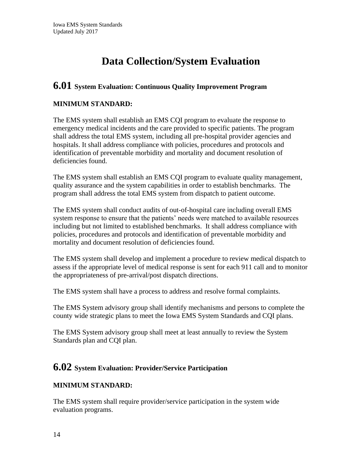# **Data Collection/System Evaluation**

### **6.01 System Evaluation: Continuous Quality Improvement Program**

### **MINIMUM STANDARD:**

The EMS system shall establish an EMS CQI program to evaluate the response to emergency medical incidents and the care provided to specific patients. The program shall address the total EMS system, including all pre-hospital provider agencies and hospitals. It shall address compliance with policies, procedures and protocols and identification of preventable morbidity and mortality and document resolution of deficiencies found.

The EMS system shall establish an EMS CQI program to evaluate quality management, quality assurance and the system capabilities in order to establish benchmarks. The program shall address the total EMS system from dispatch to patient outcome.

The EMS system shall conduct audits of out-of-hospital care including overall EMS system response to ensure that the patients' needs were matched to available resources including but not limited to established benchmarks. It shall address compliance with policies, procedures and protocols and identification of preventable morbidity and mortality and document resolution of deficiencies found.

The EMS system shall develop and implement a procedure to review medical dispatch to assess if the appropriate level of medical response is sent for each 911 call and to monitor the appropriateness of pre-arrival/post dispatch directions.

The EMS system shall have a process to address and resolve formal complaints.

The EMS System advisory group shall identify mechanisms and persons to complete the county wide strategic plans to meet the Iowa EMS System Standards and CQI plans.

The EMS System advisory group shall meet at least annually to review the System Standards plan and CQI plan.

### **6.02 System Evaluation: Provider/Service Participation**

#### **MINIMUM STANDARD:**

The EMS system shall require provider/service participation in the system wide evaluation programs.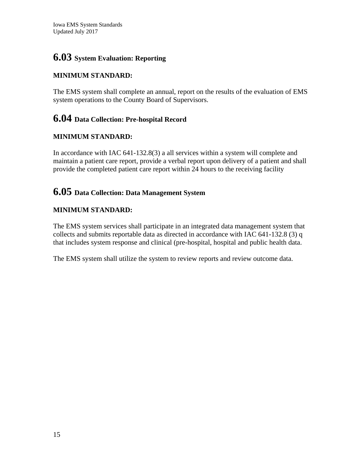# **6.03 System Evaluation: Reporting**

### **MINIMUM STANDARD:**

The EMS system shall complete an annual, report on the results of the evaluation of EMS system operations to the County Board of Supervisors.

## **6.04 Data Collection: Pre-hospital Record**

### **MINIMUM STANDARD:**

In accordance with IAC 641-132.8(3) a all services within a system will complete and maintain a patient care report, provide a verbal report upon delivery of a patient and shall provide the completed patient care report within 24 hours to the receiving facility

# **6.05 Data Collection: Data Management System**

### **MINIMUM STANDARD:**

The EMS system services shall participate in an integrated data management system that collects and submits reportable data as directed in accordance with IAC 641-132.8 (3) q that includes system response and clinical (pre-hospital, hospital and public health data.

The EMS system shall utilize the system to review reports and review outcome data.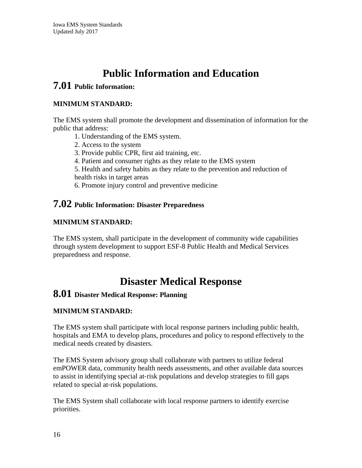# **Public Information and Education**

# **7.01 Public Information:**

### **MINIMUM STANDARD:**

The EMS system shall promote the development and dissemination of information for the public that address:

- 1. Understanding of the EMS system.
- 2. Access to the system
- 3. Provide public CPR, first aid training, etc.
- 4. Patient and consumer rights as they relate to the EMS system
- 5. Health and safety habits as they relate to the prevention and reduction of health risks in target areas
- 6. Promote injury control and preventive medicine

### **7.02 Public Information: Disaster Preparedness**

#### **MINIMUM STANDARD:**

The EMS system, shall participate in the development of community wide capabilities through system development to support ESF-8 Public Health and Medical Services preparedness and response.

# **Disaster Medical Response**

### **8.01 Disaster Medical Response: Planning**

#### **MINIMUM STANDARD:**

The EMS system shall participate with local response partners including public health, hospitals and EMA to develop plans, procedures and policy to respond effectively to the medical needs created by disasters.

The EMS System advisory group shall collaborate with partners to utilize federal emPOWER data, community health needs assessments, and other available data sources to assist in identifying special at‐risk populations and develop strategies to fill gaps related to special at‐risk populations.

The EMS System shall collaborate with local response partners to identify exercise priorities.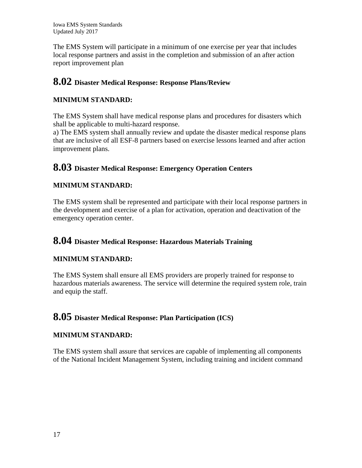Iowa EMS System Standards Updated July 2017

The EMS System will participate in a minimum of one exercise per year that includes local response partners and assist in the completion and submission of an after action report improvement plan

# **8.02 Disaster Medical Response: Response Plans/Review**

#### **MINIMUM STANDARD:**

The EMS System shall have medical response plans and procedures for disasters which shall be applicable to multi-hazard response.

a) The EMS system shall annually review and update the disaster medical response plans that are inclusive of all ESF-8 partners based on exercise lessons learned and after action improvement plans.

### **8.03 Disaster Medical Response: Emergency Operation Centers**

### **MINIMUM STANDARD:**

The EMS system shall be represented and participate with their local response partners in the development and exercise of a plan for activation, operation and deactivation of the emergency operation center.

### **8.04 Disaster Medical Response: Hazardous Materials Training**

#### **MINIMUM STANDARD:**

The EMS System shall ensure all EMS providers are properly trained for response to hazardous materials awareness. The service will determine the required system role, train and equip the staff.

### **8.05 Disaster Medical Response: Plan Participation (ICS)**

#### **MINIMUM STANDARD:**

The EMS system shall assure that services are capable of implementing all components of the National Incident Management System, including training and incident command